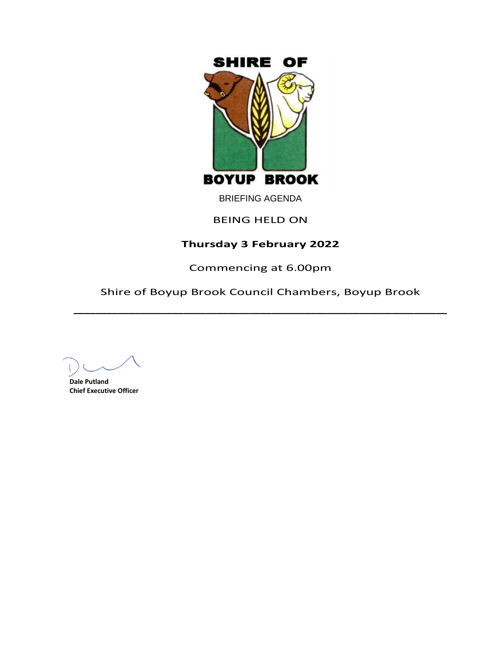

BRIEFING AGENDA

# BEING HELD ON

# **Thursday 3 February 2022**

Commencing at 6.00pm

Shire of Boyup Brook Council Chambers, Boyup Brook  $\overline{\phantom{a}}$ 

**Dale Putland Chief Executive Officer**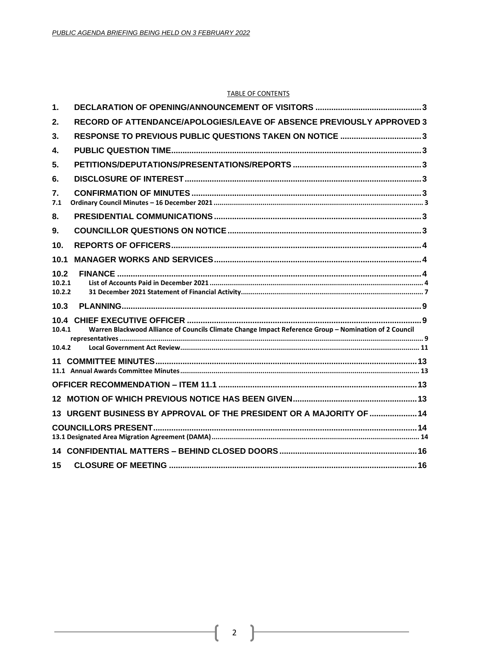#### **TABLE OF CONTENTS**

| 1.                       |                                                                                                       |  |
|--------------------------|-------------------------------------------------------------------------------------------------------|--|
| 2.                       | RECORD OF ATTENDANCE/APOLOGIES/LEAVE OF ABSENCE PREVIOUSLY APPROVED 3                                 |  |
| 3.                       | RESPONSE TO PREVIOUS PUBLIC QUESTIONS TAKEN ON NOTICE 3                                               |  |
| 4.                       |                                                                                                       |  |
| 5.                       |                                                                                                       |  |
| 6.                       |                                                                                                       |  |
| 7.<br>7.1                |                                                                                                       |  |
| 8.                       |                                                                                                       |  |
| 9.                       |                                                                                                       |  |
| 10.                      |                                                                                                       |  |
| 10.1                     |                                                                                                       |  |
| 10.2<br>10.2.1<br>10.2.2 |                                                                                                       |  |
| 10.3                     |                                                                                                       |  |
| 10.4.1                   | Warren Blackwood Alliance of Councils Climate Change Impact Reference Group - Nomination of 2 Council |  |
| 10.4.2                   |                                                                                                       |  |
|                          |                                                                                                       |  |
|                          |                                                                                                       |  |
|                          |                                                                                                       |  |
|                          | 13 URGENT BUSINESS BY APPROVAL OF THE PRESIDENT OR A MAJORITY OF  14                                  |  |
|                          |                                                                                                       |  |
|                          |                                                                                                       |  |
| 15                       |                                                                                                       |  |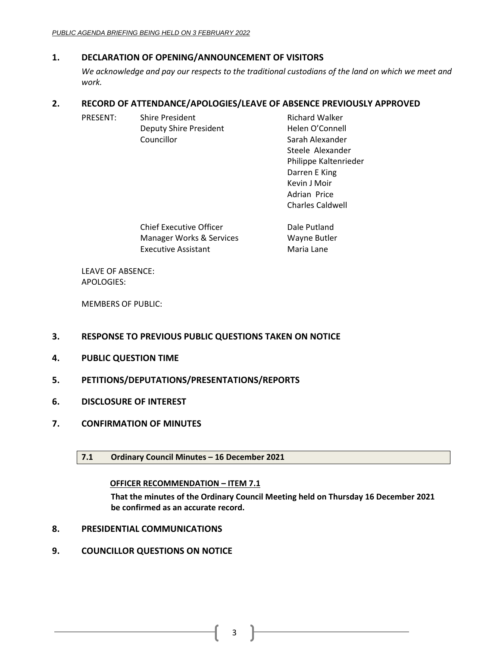# <span id="page-2-0"></span>**1. DECLARATION OF OPENING/ANNOUNCEMENT OF VISITORS**

*We acknowledge and pay our respects to the traditional custodians of the land on which we meet and work.*

# <span id="page-2-1"></span>**2. RECORD OF ATTENDANCE/APOLOGIES/LEAVE OF ABSENCE PREVIOUSLY APPROVED**

| <b>PRESENT:</b> | <b>Shire President</b>                                                                                                                                                                                                                                                                                                                                            | <b>Richard Walker</b>   |
|-----------------|-------------------------------------------------------------------------------------------------------------------------------------------------------------------------------------------------------------------------------------------------------------------------------------------------------------------------------------------------------------------|-------------------------|
|                 | Deputy Shire President                                                                                                                                                                                                                                                                                                                                            | Helen O'Connell         |
|                 | Councillor                                                                                                                                                                                                                                                                                                                                                        | Sarah Alexander         |
|                 |                                                                                                                                                                                                                                                                                                                                                                   | Steele Alexander        |
|                 |                                                                                                                                                                                                                                                                                                                                                                   | Philippe Kaltenrieder   |
|                 |                                                                                                                                                                                                                                                                                                                                                                   | Darren E King           |
|                 |                                                                                                                                                                                                                                                                                                                                                                   | Kevin J Moir            |
|                 |                                                                                                                                                                                                                                                                                                                                                                   | Adrian Price            |
|                 |                                                                                                                                                                                                                                                                                                                                                                   | <b>Charles Caldwell</b> |
|                 | $\bigcap_{i=1}^n \bigcup_{i=1}^n \bigcap_{i=1}^n \bigcup_{i=1}^n \bigcup_{i=1}^n \bigcup_{i=1}^n \bigcup_{i=1}^n \bigcup_{i=1}^n \bigcup_{i=1}^n \bigcup_{i=1}^n \bigcup_{i=1}^n \bigcup_{i=1}^n \bigcup_{i=1}^n \bigcup_{i=1}^n \bigcup_{i=1}^n \bigcup_{i=1}^n \bigcup_{i=1}^n \bigcup_{i=1}^n \bigcup_{i=1}^n \bigcup_{i=1}^n \bigcup_{i=1}^n \bigcup_{i=1}^n$ | المستقلحات والمتلاح     |

| <b>Chief Executive Officer</b> | Dale Putland |
|--------------------------------|--------------|
| Manager Works & Services       | Wayne Butler |
| Executive Assistant            | Maria Lane   |

LEAVE OF ABSENCE: APOLOGIES:

MEMBERS OF PUBLIC:

- <span id="page-2-2"></span>**3. RESPONSE TO PREVIOUS PUBLIC QUESTIONS TAKEN ON NOTICE**
- <span id="page-2-3"></span>**4. PUBLIC QUESTION TIME**
- <span id="page-2-4"></span>**5. PETITIONS/DEPUTATIONS/PRESENTATIONS/REPORTS**
- <span id="page-2-5"></span>**6. DISCLOSURE OF INTEREST**
- <span id="page-2-7"></span><span id="page-2-6"></span>**7. CONFIRMATION OF MINUTES**
	- **7.1 Ordinary Council Minutes – 16 December 2021**

# **OFFICER RECOMMENDATION – ITEM 7.1**

**That the minutes of the Ordinary Council Meeting held on Thursday 16 December 2021 be confirmed as an accurate record.**

- <span id="page-2-8"></span>**8. PRESIDENTIAL COMMUNICATIONS**
- <span id="page-2-9"></span>**9. COUNCILLOR QUESTIONS ON NOTICE**

3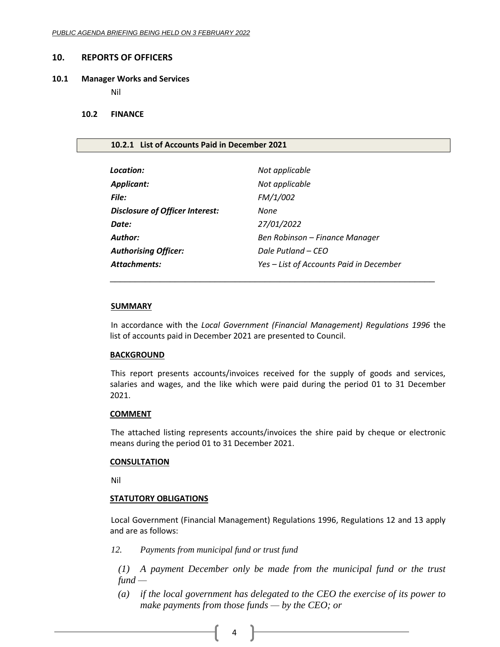#### <span id="page-3-0"></span>**10. REPORTS OF OFFICERS**

#### <span id="page-3-1"></span>**10.1 Manager Works and Services**

Nil

#### <span id="page-3-2"></span>**10.2 FINANCE**

#### <span id="page-3-3"></span>**10.2.1 List of Accounts Paid in December 2021**

| Location:                              | Not applicable                          |
|----------------------------------------|-----------------------------------------|
| <b>Applicant:</b>                      | Not applicable                          |
| File:                                  | FM/1/002                                |
| <b>Disclosure of Officer Interest:</b> | None                                    |
| Date:                                  | 27/01/2022                              |
| Author:                                | Ben Robinson – Finance Manager          |
| <b>Authorising Officer:</b>            | Dale Putland – CEO                      |
| <b>Attachments:</b>                    | Yes - List of Accounts Paid in December |

#### **SUMMARY**

In accordance with the *Local Government (Financial Management) Regulations 1996* the list of accounts paid in December 2021 are presented to Council.

\_\_\_\_\_\_\_\_\_\_\_\_\_\_\_\_\_\_\_\_\_\_\_\_\_\_\_\_\_\_\_\_\_\_\_\_\_\_\_\_\_\_\_\_\_\_\_\_\_\_\_\_\_\_\_\_\_\_\_\_\_\_\_\_\_

## **BACKGROUND**

This report presents accounts/invoices received for the supply of goods and services, salaries and wages, and the like which were paid during the period 01 to 31 December 2021.

#### **COMMENT**

The attached listing represents accounts/invoices the shire paid by cheque or electronic means during the period 01 to 31 December 2021.

#### **CONSULTATION**

Nil

### **STATUTORY OBLIGATIONS**

Local Government (Financial Management) Regulations 1996, Regulations 12 and 13 apply and are as follows:

*12. Payments from municipal fund or trust fund*

*(1) A payment December only be made from the municipal fund or the trust fund —*

*(a) if the local government has delegated to the CEO the exercise of its power to make payments from those funds — by the CEO; or*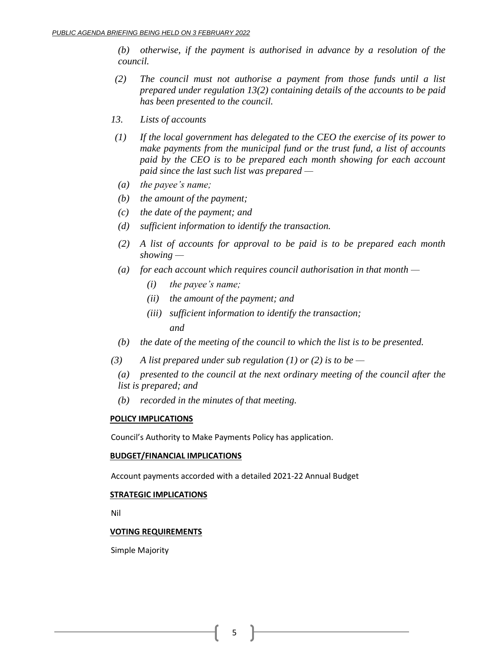*(b) otherwise, if the payment is authorised in advance by a resolution of the council.*

- *(2) The council must not authorise a payment from those funds until a list prepared under regulation 13(2) containing details of the accounts to be paid has been presented to the council.*
- *13. Lists of accounts*
- *(1) If the local government has delegated to the CEO the exercise of its power to make payments from the municipal fund or the trust fund, a list of accounts paid by the CEO is to be prepared each month showing for each account paid since the last such list was prepared —*
- *(a) the payee's name;*
- *(b) the amount of the payment;*
- *(c) the date of the payment; and*
- *(d) sufficient information to identify the transaction.*
- *(2) A list of accounts for approval to be paid is to be prepared each month showing —*
- *(a) for each account which requires council authorisation in that month —*
	- *(i) the payee's name;*
	- *(ii) the amount of the payment; and*
	- *(iii) sufficient information to identify the transaction;*

*and*

- *(b) the date of the meeting of the council to which the list is to be presented.*
- *(3) A list prepared under sub regulation (1) or (2) is to be —*
	- *(a) presented to the council at the next ordinary meeting of the council after the list is prepared; and*
	- *(b) recorded in the minutes of that meeting.*

# **POLICY IMPLICATIONS**

Council's Authority to Make Payments Policy has application.

### **BUDGET/FINANCIAL IMPLICATIONS**

Account payments accorded with a detailed 2021-22 Annual Budget

# **STRATEGIC IMPLICATIONS**

Nil

# **VOTING REQUIREMENTS**

Simple Majority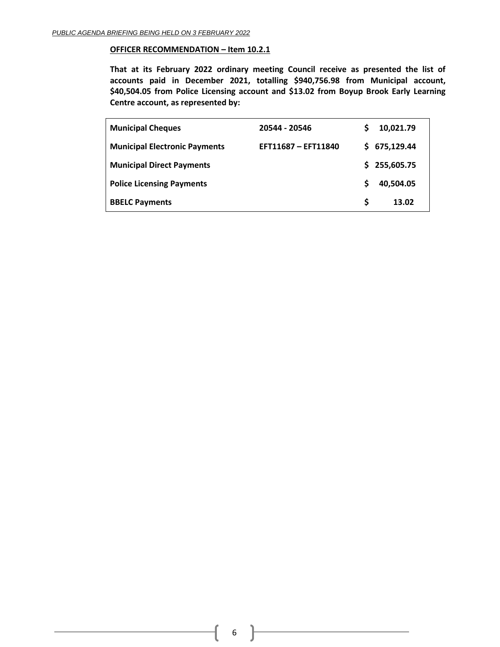#### **OFFICER RECOMMENDATION – Item 10.2.1**

**That at its February 2022 ordinary meeting Council receive as presented the list of accounts paid in December 2021, totalling \$940,756.98 from Municipal account, \$40,504.05 from Police Licensing account and \$13.02 from Boyup Brook Early Learning Centre account, as represented by:**

| <b>Municipal Cheques</b>             | 20544 - 20546       |    | 10.021.79    |
|--------------------------------------|---------------------|----|--------------|
| <b>Municipal Electronic Payments</b> | EFT11687 - EFT11840 |    | \$675,129.44 |
| <b>Municipal Direct Payments</b>     |                     | S. | 255,605.75   |
| <b>Police Licensing Payments</b>     |                     | S  | 40,504.05    |
| <b>BBELC Payments</b>                |                     | S  | 13.02        |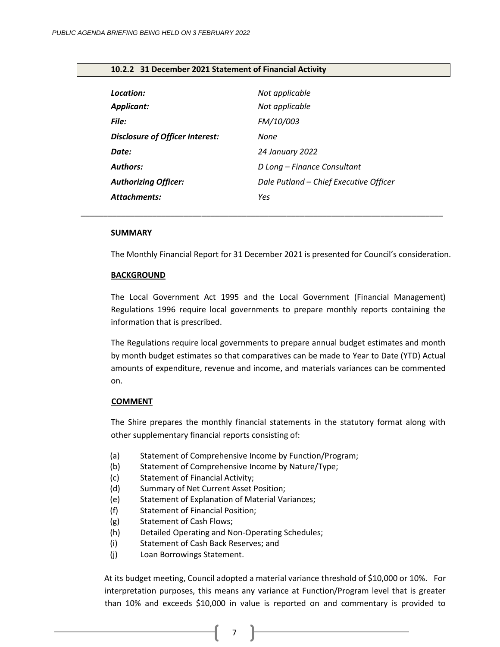| Location:<br><b>Applicant:</b>         | Not applicable<br>Not applicable       |
|----------------------------------------|----------------------------------------|
| File:                                  | FM/10/003                              |
| <b>Disclosure of Officer Interest:</b> | None                                   |
| Date:                                  | 24 January 2022                        |
| <b>Authors:</b>                        | D Long - Finance Consultant            |
| <b>Authorizing Officer:</b>            | Dale Putland - Chief Executive Officer |
| Attachments:                           | Yes                                    |

*\_\_\_\_\_\_\_\_\_\_\_\_\_\_\_\_\_\_\_\_\_\_\_\_\_\_\_\_\_\_\_\_\_\_\_\_\_\_\_\_\_\_\_\_\_\_\_\_\_\_\_\_\_\_\_\_\_\_\_\_\_\_\_\_\_\_\_\_\_\_\_\_\_\_\_\_\_\_\_\_\_*

## <span id="page-6-0"></span>**10.2.2 31 December 2021 Statement of Financial Activity**

#### **SUMMARY**

The Monthly Financial Report for 31 December 2021 is presented for Council's consideration.

#### **BACKGROUND**

The Local Government Act 1995 and the Local Government (Financial Management) Regulations 1996 require local governments to prepare monthly reports containing the information that is prescribed.

The Regulations require local governments to prepare annual budget estimates and month by month budget estimates so that comparatives can be made to Year to Date (YTD) Actual amounts of expenditure, revenue and income, and materials variances can be commented on.

### **COMMENT**

The Shire prepares the monthly financial statements in the statutory format along with other supplementary financial reports consisting of:

- (a) Statement of Comprehensive Income by Function/Program;
- (b) Statement of Comprehensive Income by Nature/Type;
- (c) Statement of Financial Activity;
- (d) Summary of Net Current Asset Position;
- (e) Statement of Explanation of Material Variances;
- (f) Statement of Financial Position;
- (g) Statement of Cash Flows;
- (h) Detailed Operating and Non-Operating Schedules;
- (i) Statement of Cash Back Reserves; and
- (j) Loan Borrowings Statement.

At its budget meeting, Council adopted a material variance threshold of \$10,000 or 10%. For interpretation purposes, this means any variance at Function/Program level that is greater than 10% and exceeds \$10,000 in value is reported on and commentary is provided to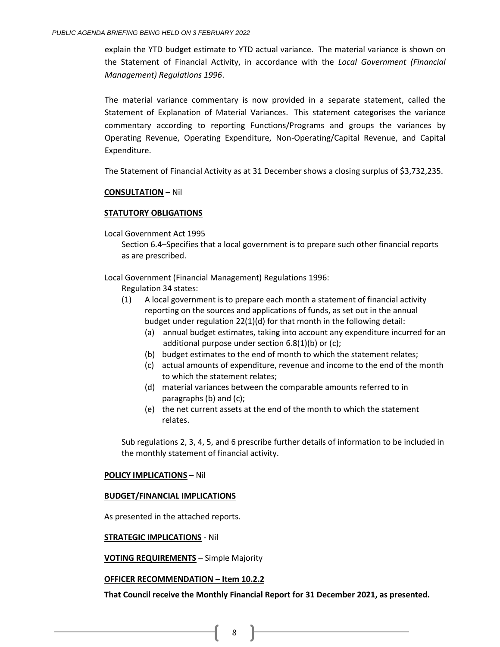explain the YTD budget estimate to YTD actual variance. The material variance is shown on the Statement of Financial Activity, in accordance with the *Local Government (Financial Management) Regulations 1996*.

The material variance commentary is now provided in a separate statement, called the Statement of Explanation of Material Variances. This statement categorises the variance commentary according to reporting Functions/Programs and groups the variances by Operating Revenue, Operating Expenditure, Non-Operating/Capital Revenue, and Capital Expenditure.

The Statement of Financial Activity as at 31 December shows a closing surplus of \$3,732,235.

# **CONSULTATION** – Nil

# **STATUTORY OBLIGATIONS**

Local Government Act 1995

Section 6.4–Specifies that a local government is to prepare such other financial reports as are prescribed.

Local Government (Financial Management) Regulations 1996:

Regulation 34 states:

- (1) A local government is to prepare each month a statement of financial activity reporting on the sources and applications of funds, as set out in the annual budget under regulation 22(1)(d) for that month in the following detail:
	- (a) annual budget estimates, taking into account any expenditure incurred for an additional purpose under section 6.8(1)(b) or (c);
	- (b) budget estimates to the end of month to which the statement relates;
	- (c) actual amounts of expenditure, revenue and income to the end of the month to which the statement relates;
	- (d) material variances between the comparable amounts referred to in paragraphs (b) and (c);
	- (e) the net current assets at the end of the month to which the statement relates.

Sub regulations 2, 3, 4, 5, and 6 prescribe further details of information to be included in the monthly statement of financial activity.

# **POLICY IMPLICATIONS** – Nil

# **BUDGET/FINANCIAL IMPLICATIONS**

As presented in the attached reports.

### **STRATEGIC IMPLICATIONS** - Nil

**VOTING REQUIREMENTS** – Simple Majority

# **OFFICER RECOMMENDATION – Item 10.2.2**

**That Council receive the Monthly Financial Report for 31 December 2021, as presented.**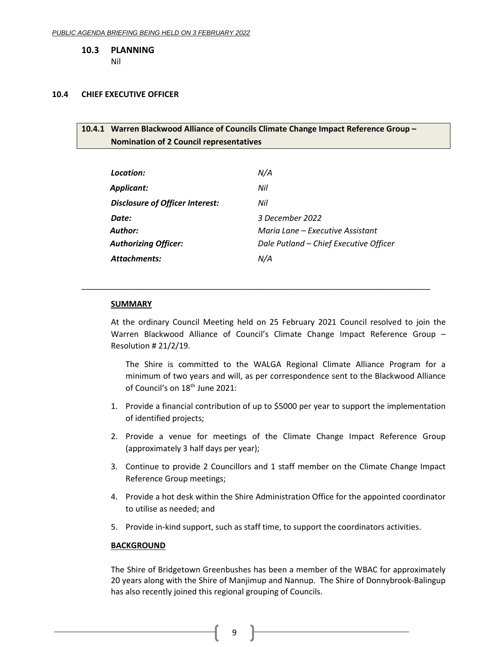<span id="page-8-0"></span>**10.3 PLANNING**

Nil

### <span id="page-8-2"></span><span id="page-8-1"></span>**10.4 CHIEF EXECUTIVE OFFICER**

# **10.4.1 Warren Blackwood Alliance of Councils Climate Change Impact Reference Group – Nomination of 2 Council representatives**

| Location:                       | N/A                                    |
|---------------------------------|----------------------------------------|
| Applicant:                      | Nil                                    |
| Disclosure of Officer Interest: | Nil                                    |
| Date:                           | 3 December 2022                        |
| Author:                         | Maria Lane – Executive Assistant       |
| <b>Authorizing Officer:</b>     | Dale Putland - Chief Executive Officer |
| Attachments:                    | N/A                                    |

\_\_\_\_\_\_\_\_\_\_\_\_\_\_\_\_\_\_\_\_\_\_\_\_\_\_\_\_\_\_\_\_\_\_\_\_\_\_\_\_\_\_\_\_\_\_\_\_\_\_\_\_\_\_\_\_\_\_\_\_\_\_\_\_\_\_\_\_\_\_\_\_\_\_\_\_\_\_

### **SUMMARY**

At the ordinary Council Meeting held on 25 February 2021 Council resolved to join the Warren Blackwood Alliance of Council's Climate Change Impact Reference Group – Resolution # 21/2/19.

The Shire is committed to the WALGA Regional Climate Alliance Program for a minimum of two years and will, as per correspondence sent to the Blackwood Alliance of Council's on 18<sup>th</sup> June 2021:

- 1. Provide a financial contribution of up to \$5000 per year to support the implementation of identified projects;
- 2. Provide a venue for meetings of the Climate Change Impact Reference Group (approximately 3 half days per year);
- 3. Continue to provide 2 Councillors and 1 staff member on the Climate Change Impact Reference Group meetings;
- 4. Provide a hot desk within the Shire Administration Office for the appointed coordinator to utilise as needed; and
- 5. Provide in-kind support, such as staff time, to support the coordinators activities.

# **BACKGROUND**

The Shire of Bridgetown Greenbushes has been a member of the WBAC for approximately 20 years along with the Shire of Manjimup and Nannup. The Shire of Donnybrook-Balingup has also recently joined this regional grouping of Councils.

9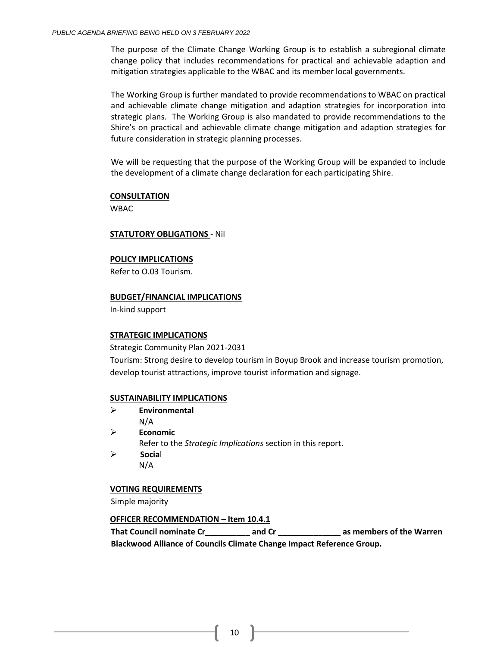The purpose of the Climate Change Working Group is to establish a subregional climate change policy that includes recommendations for practical and achievable adaption and mitigation strategies applicable to the WBAC and its member local governments.

The Working Group is further mandated to provide recommendations to WBAC on practical and achievable climate change mitigation and adaption strategies for incorporation into strategic plans. The Working Group is also mandated to provide recommendations to the Shire's on practical and achievable climate change mitigation and adaption strategies for future consideration in strategic planning processes.

We will be requesting that the purpose of the Working Group will be expanded to include the development of a climate change declaration for each participating Shire.

### **CONSULTATION**

WBAC

## **STATUTORY OBLIGATIONS** - Nil

## **POLICY IMPLICATIONS**

Refer to O.03 Tourism.

## **BUDGET/FINANCIAL IMPLICATIONS**

In-kind support

# **STRATEGIC IMPLICATIONS**

Strategic Community Plan 2021-2031

Tourism: Strong desire to develop tourism in Boyup Brook and increase tourism promotion, develop tourist attractions, improve tourist information and signage.

### **SUSTAINABILITY IMPLICATIONS**

- ➢ **Environmental**
	- N/A
- ➢ **Economic**
	- Refer to the *Strategic Implications* section in this report.
- ➢ **Socia**l N/A

# **VOTING REQUIREMENTS**

Simple majority

# **OFFICER RECOMMENDATION – Item 10.4.1**

**That Council nominate Cr\_\_\_\_\_\_\_\_\_\_ and Cr \_\_\_\_\_\_\_\_\_\_\_\_\_\_ as members of the Warren Blackwood Alliance of Councils Climate Change Impact Reference Group.**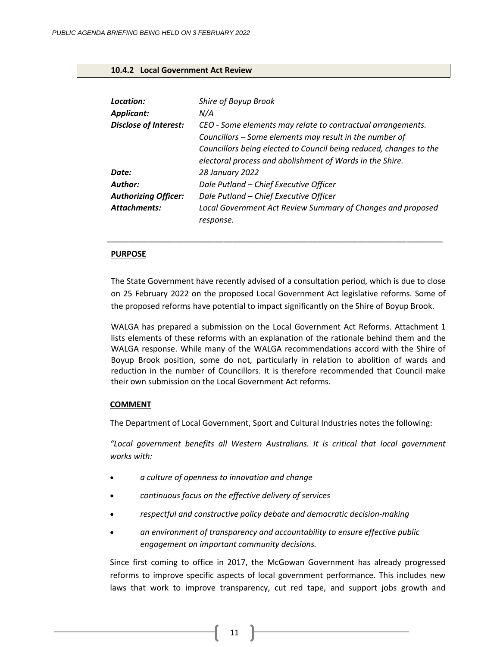### <span id="page-10-0"></span>**10.4.2 Local Government Act Review**

| Location:<br><b>Applicant:</b> | Shire of Boyup Brook<br>N/A                                                                                                                                                                                                                              |
|--------------------------------|----------------------------------------------------------------------------------------------------------------------------------------------------------------------------------------------------------------------------------------------------------|
| <b>Disclose of Interest:</b>   | CEO - Some elements may relate to contractual arrangements.<br>Councillors - Some elements may result in the number of<br>Councillors being elected to Council being reduced, changes to the<br>electoral process and abolishment of Wards in the Shire. |
| Date:                          | 28 January 2022                                                                                                                                                                                                                                          |
| Author:                        | Dale Putland - Chief Executive Officer                                                                                                                                                                                                                   |
| <b>Authorizing Officer:</b>    | Dale Putland - Chief Executive Officer                                                                                                                                                                                                                   |
| <b>Attachments:</b>            | Local Government Act Review Summary of Changes and proposed<br>response.                                                                                                                                                                                 |

#### **PURPOSE**

The State Government have recently advised of a consultation period, which is due to close on 25 February 2022 on the proposed Local Government Act legislative reforms. Some of the proposed reforms have potential to impact significantly on the Shire of Boyup Brook.

\_\_\_\_\_\_\_\_\_\_\_\_\_\_\_\_\_\_\_\_\_\_\_\_\_\_\_\_\_\_\_\_\_\_\_\_\_\_\_\_\_\_\_\_\_\_\_\_\_\_\_\_\_\_\_\_\_\_\_\_\_\_\_\_\_\_\_\_\_\_\_\_\_\_\_

WALGA has prepared a submission on the Local Government Act Reforms. Attachment 1 lists elements of these reforms with an explanation of the rationale behind them and the WALGA response. While many of the WALGA recommendations accord with the Shire of Boyup Brook position, some do not, particularly in relation to abolition of wards and reduction in the number of Councillors. It is therefore recommended that Council make their own submission on the Local Government Act reforms.

## **COMMENT**

The Department of Local Government, Sport and Cultural Industries notes the following:

*"Local government benefits all Western Australians. It is critical that local government works with:*

- *a culture of openness to innovation and change*
- *continuous focus on the effective delivery of services*
- *respectful and constructive policy debate and democratic decision-making*
- *an environment of transparency and accountability to ensure effective public engagement on important community decisions.*

Since first coming to office in 2017, the McGowan Government has already progressed reforms to improve specific aspects of local government performance. This includes new laws that work to improve transparency, cut red tape, and support jobs growth and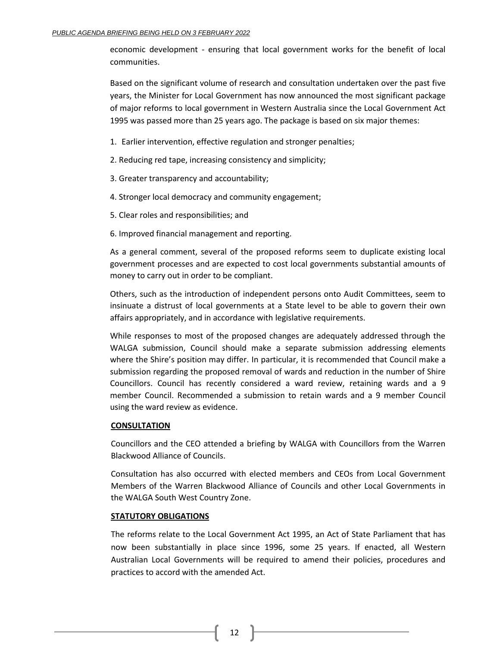economic development - ensuring that local government works for the benefit of local communities.

Based on the significant volume of research and consultation undertaken over the past five years, the Minister for Local Government has now announced the most significant package of major reforms to local government in Western Australia since the Local Government Act 1995 was passed more than 25 years ago. The package is based on six major themes:

1. Earlier intervention, effective regulation and stronger penalties;

2. Reducing red tape, increasing consistency and simplicity;

3. Greater transparency and accountability;

4. Stronger local democracy and community engagement;

5. Clear roles and responsibilities; and

6. Improved financial management and reporting.

As a general comment, several of the proposed reforms seem to duplicate existing local government processes and are expected to cost local governments substantial amounts of money to carry out in order to be compliant.

Others, such as the introduction of independent persons onto Audit Committees, seem to insinuate a distrust of local governments at a State level to be able to govern their own affairs appropriately, and in accordance with legislative requirements.

While responses to most of the proposed changes are adequately addressed through the WALGA submission, Council should make a separate submission addressing elements where the Shire's position may differ. In particular, it is recommended that Council make a submission regarding the proposed removal of wards and reduction in the number of Shire Councillors. Council has recently considered a ward review, retaining wards and a 9 member Council. Recommended a submission to retain wards and a 9 member Council using the ward review as evidence.

# **CONSULTATION**

Councillors and the CEO attended a briefing by WALGA with Councillors from the Warren Blackwood Alliance of Councils.

Consultation has also occurred with elected members and CEOs from Local Government Members of the Warren Blackwood Alliance of Councils and other Local Governments in the WALGA South West Country Zone.

# **STATUTORY OBLIGATIONS**

The reforms relate to the Local Government Act 1995, an Act of State Parliament that has now been substantially in place since 1996, some 25 years. If enacted, all Western Australian Local Governments will be required to amend their policies, procedures and practices to accord with the amended Act.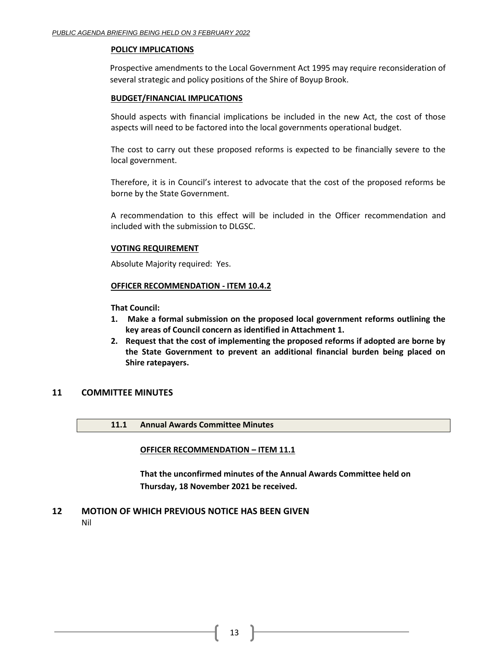## **POLICY IMPLICATIONS**

Prospective amendments to the Local Government Act 1995 may require reconsideration of several strategic and policy positions of the Shire of Boyup Brook.

## **BUDGET/FINANCIAL IMPLICATIONS**

Should aspects with financial implications be included in the new Act, the cost of those aspects will need to be factored into the local governments operational budget.

The cost to carry out these proposed reforms is expected to be financially severe to the local government.

Therefore, it is in Council's interest to advocate that the cost of the proposed reforms be borne by the State Government.

A recommendation to this effect will be included in the Officer recommendation and included with the submission to DLGSC.

## **VOTING REQUIREMENT**

Absolute Majority required: Yes.

## **OFFICER RECOMMENDATION - ITEM 10.4.2**

**That Council:**

- **1. Make a formal submission on the proposed local government reforms outlining the key areas of Council concern as identified in Attachment 1.**
- **2. Request that the cost of implementing the proposed reforms if adopted are borne by the State Government to prevent an additional financial burden being placed on Shire ratepayers.**

# <span id="page-12-0"></span>**11 COMMITTEE MINUTES**

<span id="page-12-1"></span>**11.1 Annual Awards Committee Minutes**

### <span id="page-12-2"></span>**OFFICER RECOMMENDATION – ITEM 11.1**

**That the unconfirmed minutes of the Annual Awards Committee held on Thursday, 18 November 2021 be received.**

# <span id="page-12-3"></span>**12 MOTION OF WHICH PREVIOUS NOTICE HAS BEEN GIVEN**

Nil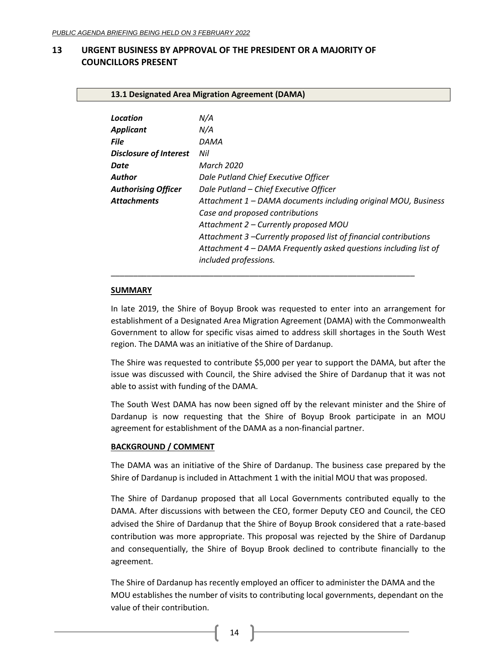# <span id="page-13-1"></span><span id="page-13-0"></span>**13 URGENT BUSINESS BY APPROVAL OF THE PRESIDENT OR A MAJORITY OF COUNCILLORS PRESENT**

<span id="page-13-2"></span>**13.1 Designated Area Migration Agreement (DAMA)**

| Location                      | N/A                                                            |
|-------------------------------|----------------------------------------------------------------|
| <b>Applicant</b>              | N/A                                                            |
| <b>File</b>                   | DAMA                                                           |
| <b>Disclosure of Interest</b> | Nil                                                            |
| Date                          | <b>March 2020</b>                                              |
| Author                        | Dale Putland Chief Executive Officer                           |
| <b>Authorising Officer</b>    | Dale Putland - Chief Executive Officer                         |
| <b>Attachments</b>            | Attachment 1 - DAMA documents including original MOU, Business |
|                               |                                                                |

*Case and proposed contributions*

\_\_\_\_\_\_\_\_\_\_\_\_\_\_\_\_\_\_\_\_\_\_\_\_\_\_\_\_\_\_\_\_\_\_\_\_\_\_\_\_\_\_\_\_\_\_\_\_\_\_\_\_\_\_\_\_\_\_\_\_\_\_\_\_\_\_\_\_

*included professions.*

*Attachment 2 – Currently proposed MOU*

*Attachment 3 –Currently proposed list of financial contributions Attachment 4 – DAMA Frequently asked questions including list of* 

#### **SUMMARY**

In late 2019, the Shire of Boyup Brook was requested to enter into an arrangement for establishment of a Designated Area Migration Agreement (DAMA) with the Commonwealth Government to allow for specific visas aimed to address skill shortages in the South West region. The DAMA was an initiative of the Shire of Dardanup.

The Shire was requested to contribute \$5,000 per year to support the DAMA, but after the issue was discussed with Council, the Shire advised the Shire of Dardanup that it was not able to assist with funding of the DAMA.

The South West DAMA has now been signed off by the relevant minister and the Shire of Dardanup is now requesting that the Shire of Boyup Brook participate in an MOU agreement for establishment of the DAMA as a non-financial partner.

#### **BACKGROUND / COMMENT**

The DAMA was an initiative of the Shire of Dardanup. The business case prepared by the Shire of Dardanup is included in Attachment 1 with the initial MOU that was proposed.

The Shire of Dardanup proposed that all Local Governments contributed equally to the DAMA. After discussions with between the CEO, former Deputy CEO and Council, the CEO advised the Shire of Dardanup that the Shire of Boyup Brook considered that a rate-based contribution was more appropriate. This proposal was rejected by the Shire of Dardanup and consequentially, the Shire of Boyup Brook declined to contribute financially to the agreement.

The Shire of Dardanup has recently employed an officer to administer the DAMA and the MOU establishes the number of visits to contributing local governments, dependant on the value of their contribution.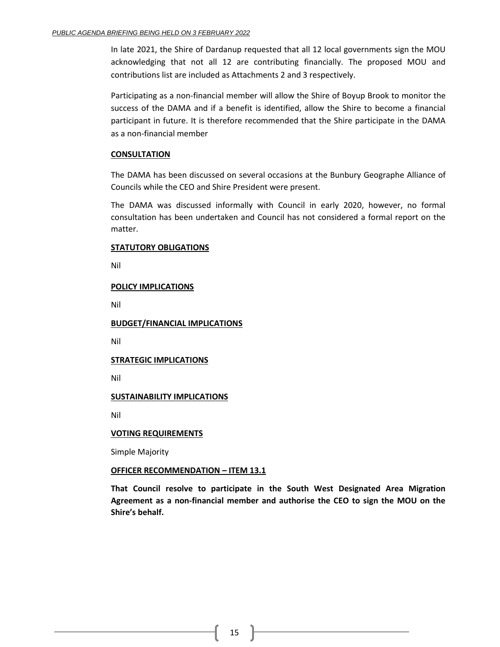In late 2021, the Shire of Dardanup requested that all 12 local governments sign the MOU acknowledging that not all 12 are contributing financially. The proposed MOU and contributions list are included as Attachments 2 and 3 respectively.

Participating as a non-financial member will allow the Shire of Boyup Brook to monitor the success of the DAMA and if a benefit is identified, allow the Shire to become a financial participant in future. It is therefore recommended that the Shire participate in the DAMA as a non-financial member

## **CONSULTATION**

The DAMA has been discussed on several occasions at the Bunbury Geographe Alliance of Councils while the CEO and Shire President were present.

The DAMA was discussed informally with Council in early 2020, however, no formal consultation has been undertaken and Council has not considered a formal report on the matter.

### **STATUTORY OBLIGATIONS**

Nil

## **POLICY IMPLICATIONS**

Nil

**BUDGET/FINANCIAL IMPLICATIONS**

Nil

# **STRATEGIC IMPLICATIONS**

Nil

# **SUSTAINABILITY IMPLICATIONS**

Nil

### **VOTING REQUIREMENTS**

Simple Majority

# **OFFICER RECOMMENDATION – ITEM 13.1**

**That Council resolve to participate in the South West Designated Area Migration Agreement as a non-financial member and authorise the CEO to sign the MOU on the Shire's behalf.**